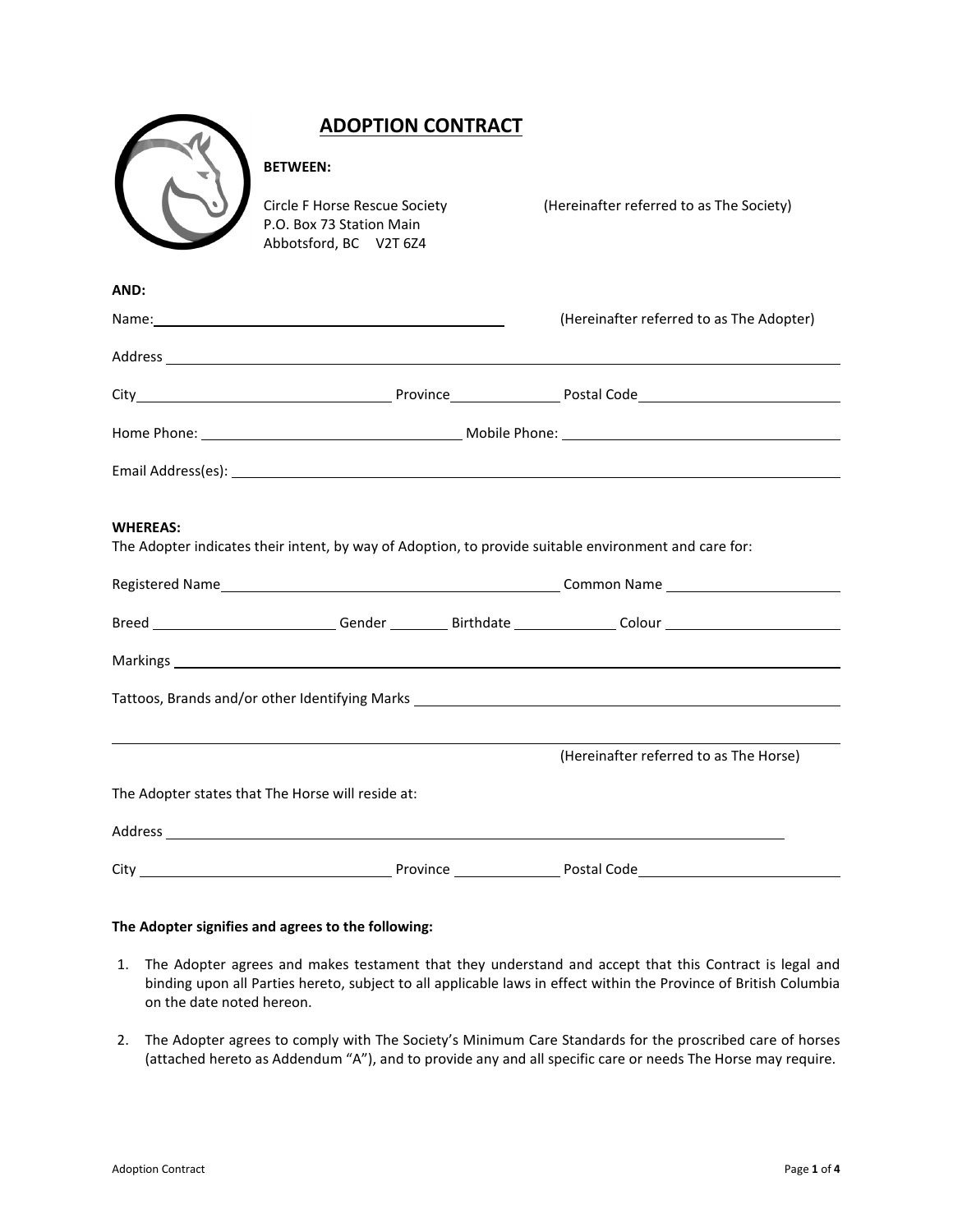|                                                                                  | <b>ADOPTION CONTRACT</b>                                                                   |  |                                                                                                       |  |  |  |
|----------------------------------------------------------------------------------|--------------------------------------------------------------------------------------------|--|-------------------------------------------------------------------------------------------------------|--|--|--|
|                                                                                  | <b>BETWEEN:</b>                                                                            |  |                                                                                                       |  |  |  |
|                                                                                  | <b>Circle F Horse Rescue Society</b><br>P.O. Box 73 Station Main<br>Abbotsford, BC V2T 6Z4 |  | (Hereinafter referred to as The Society)                                                              |  |  |  |
| AND:                                                                             |                                                                                            |  |                                                                                                       |  |  |  |
|                                                                                  |                                                                                            |  | (Hereinafter referred to as The Adopter)                                                              |  |  |  |
|                                                                                  |                                                                                            |  |                                                                                                       |  |  |  |
|                                                                                  |                                                                                            |  |                                                                                                       |  |  |  |
|                                                                                  |                                                                                            |  |                                                                                                       |  |  |  |
|                                                                                  |                                                                                            |  |                                                                                                       |  |  |  |
| <b>WHEREAS:</b>                                                                  |                                                                                            |  | The Adopter indicates their intent, by way of Adoption, to provide suitable environment and care for: |  |  |  |
|                                                                                  |                                                                                            |  | Breed _________________________Gender ___________Birthdate ______________Colour ____________________  |  |  |  |
|                                                                                  |                                                                                            |  |                                                                                                       |  |  |  |
| Tattoos, Brands and/or other Identifying Marks _________________________________ |                                                                                            |  |                                                                                                       |  |  |  |
|                                                                                  |                                                                                            |  | (Hereinafter referred to as The Horse)                                                                |  |  |  |
| The Adopter states that The Horse will reside at:                                |                                                                                            |  |                                                                                                       |  |  |  |
|                                                                                  |                                                                                            |  |                                                                                                       |  |  |  |
|                                                                                  |                                                                                            |  |                                                                                                       |  |  |  |

## **The Adopter signifies and agrees to the following:**

- 1. The Adopter agrees and makes testament that they understand and accept that this Contract is legal and binding upon all Parties hereto, subject to all applicable laws in effect within the Province of British Columbia on the date noted hereon.
- 2. The Adopter agrees to comply with The Society's Minimum Care Standards for the proscribed care of horses (attached hereto as Addendum "A"), and to provide any and all specific care or needs The Horse may require.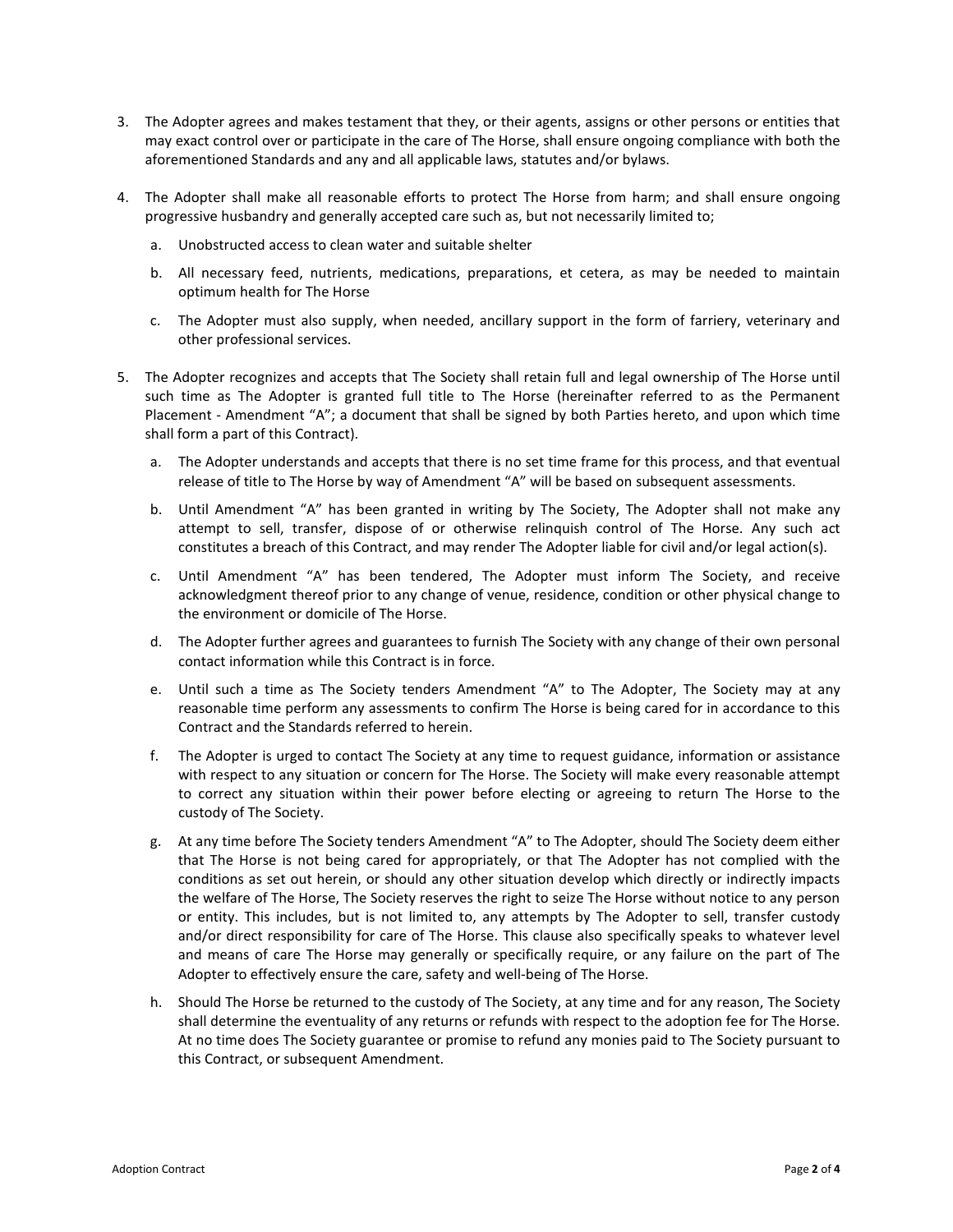- 3. The Adopter agrees and makes testament that they, or their agents, assigns or other persons or entities that may exact control over or participate in the care of The Horse, shall ensure ongoing compliance with both the aforementioned Standards and any and all applicable laws, statutes and/or bylaws.
- 4. The Adopter shall make all reasonable efforts to protect The Horse from harm; and shall ensure ongoing progressive husbandry and generally accepted care such as, but not necessarily limited to;
	- a. Unobstructed access to clean water and suitable shelter
	- b. All necessary feed, nutrients, medications, preparations, et cetera, as may be needed to maintain optimum health for The Horse
	- c. The Adopter must also supply, when needed, ancillary support in the form of farriery, veterinary and other professional services.
- 5. The Adopter recognizes and accepts that The Society shall retain full and legal ownership of The Horse until such time as The Adopter is granted full title to The Horse (hereinafter referred to as the Permanent Placement - Amendment "A"; a document that shall be signed by both Parties hereto, and upon which time shall form a part of this Contract).
	- a. The Adopter understands and accepts that there is no set time frame for this process, and that eventual release of title to The Horse by way of Amendment "A" will be based on subsequent assessments.
	- b. Until Amendment "A" has been granted in writing by The Society, The Adopter shall not make any attempt to sell, transfer, dispose of or otherwise relinquish control of The Horse. Any such act constitutes a breach of this Contract, and may render The Adopter liable for civil and/or legal action(s).
	- c. Until Amendment "A" has been tendered, The Adopter must inform The Society, and receive acknowledgment thereof prior to any change of venue, residence, condition or other physical change to the environment or domicile of The Horse.
	- d. The Adopter further agrees and guarantees to furnish The Society with any change of their own personal contact information while this Contract is in force.
	- e. Until such a time as The Society tenders Amendment "A" to The Adopter, The Society may at any reasonable time perform any assessments to confirm The Horse is being cared for in accordance to this Contract and the Standards referred to herein.
	- f. The Adopter is urged to contact The Society at any time to request guidance, information or assistance with respect to any situation or concern for The Horse. The Society will make every reasonable attempt to correct any situation within their power before electing or agreeing to return The Horse to the custody of The Society.
	- g. At any time before The Society tenders Amendment "A" to The Adopter, should The Society deem either that The Horse is not being cared for appropriately, or that The Adopter has not complied with the conditions as set out herein, or should any other situation develop which directly or indirectly impacts the welfare of The Horse, The Society reserves the right to seize The Horse without notice to any person or entity. This includes, but is not limited to, any attempts by The Adopter to sell, transfer custody and/or direct responsibility for care of The Horse. This clause also specifically speaks to whatever level and means of care The Horse may generally or specifically require, or any failure on the part of The Adopter to effectively ensure the care, safety and well-being of The Horse.
	- h. Should The Horse be returned to the custody of The Society, at any time and for any reason, The Society shall determine the eventuality of any returns or refunds with respect to the adoption fee for The Horse. At no time does The Society guarantee or promise to refund any monies paid to The Society pursuant to this Contract, or subsequent Amendment.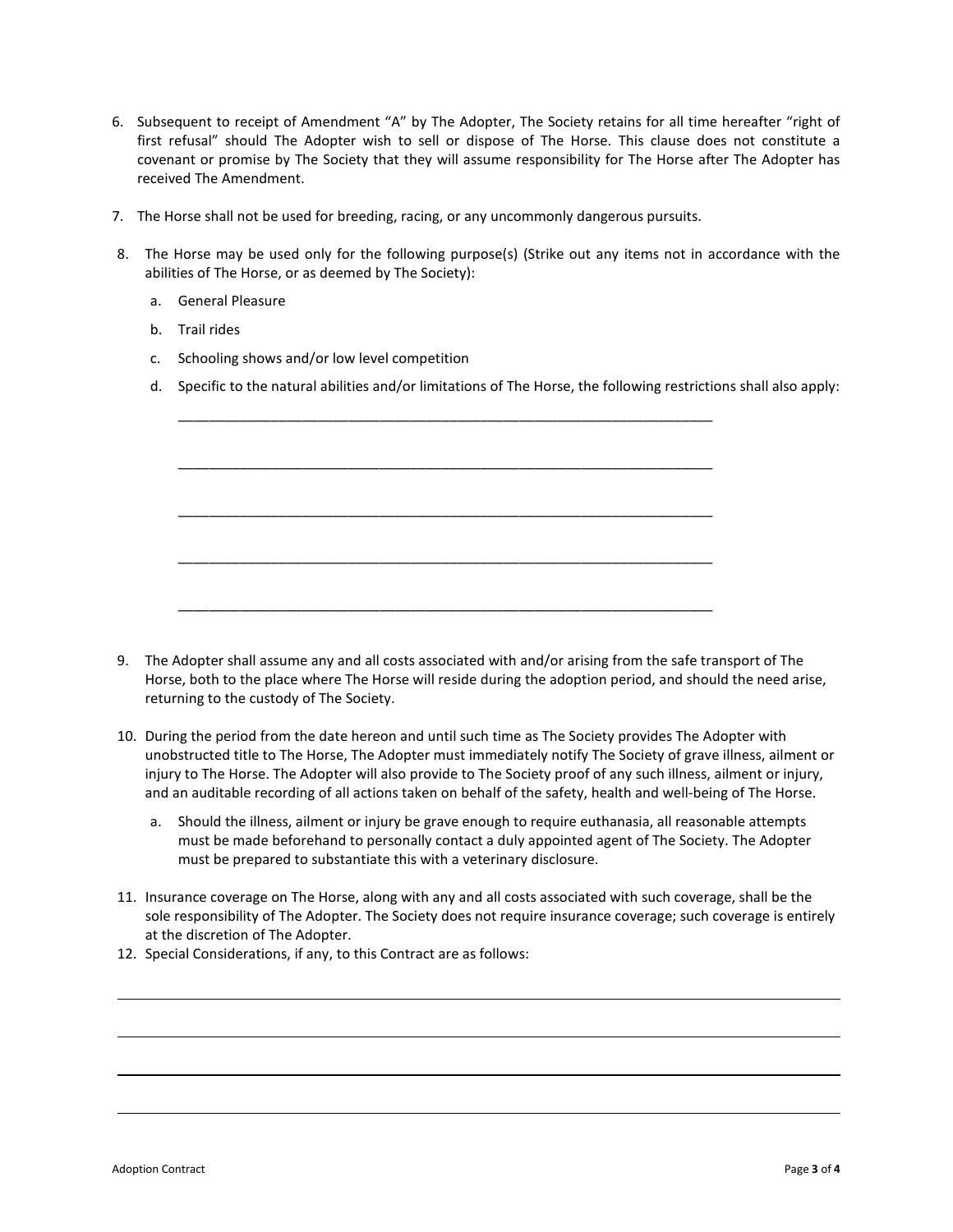- 6. Subsequent to receipt of Amendment "A" by The Adopter, The Society retains for all time hereafter "right of first refusal" should The Adopter wish to sell or dispose of The Horse. This clause does not constitute a covenant or promise by The Society that they will assume responsibility for The Horse after The Adopter has received The Amendment.
- 7. The Horse shall not be used for breeding, racing, or any uncommonly dangerous pursuits.
- 8. The Horse may be used only for the following purpose(s) (Strike out any items not in accordance with the abilities of The Horse, or as deemed by The Society):
	- a. General Pleasure
	- b. Trail rides
	- c. Schooling shows and/or low level competition
	- d. Specific to the natural abilities and/or limitations of The Horse, the following restrictions shall also apply:

\_\_\_\_\_\_\_\_\_\_\_\_\_\_\_\_\_\_\_\_\_\_\_\_\_\_\_\_\_\_\_\_\_\_\_\_\_\_\_\_\_\_\_\_\_\_\_\_\_\_\_\_\_\_\_\_\_\_\_\_\_\_\_\_\_\_\_\_\_

\_\_\_\_\_\_\_\_\_\_\_\_\_\_\_\_\_\_\_\_\_\_\_\_\_\_\_\_\_\_\_\_\_\_\_\_\_\_\_\_\_\_\_\_\_\_\_\_\_\_\_\_\_\_\_\_\_\_\_\_\_\_\_\_\_\_\_\_\_

\_\_\_\_\_\_\_\_\_\_\_\_\_\_\_\_\_\_\_\_\_\_\_\_\_\_\_\_\_\_\_\_\_\_\_\_\_\_\_\_\_\_\_\_\_\_\_\_\_\_\_\_\_\_\_\_\_\_\_\_\_\_\_\_\_\_\_\_\_

\_\_\_\_\_\_\_\_\_\_\_\_\_\_\_\_\_\_\_\_\_\_\_\_\_\_\_\_\_\_\_\_\_\_\_\_\_\_\_\_\_\_\_\_\_\_\_\_\_\_\_\_\_\_\_\_\_\_\_\_\_\_\_\_\_\_\_\_\_

\_\_\_\_\_\_\_\_\_\_\_\_\_\_\_\_\_\_\_\_\_\_\_\_\_\_\_\_\_\_\_\_\_\_\_\_\_\_\_\_\_\_\_\_\_\_\_\_\_\_\_\_\_\_\_\_\_\_\_\_\_\_\_\_\_\_\_\_\_

- 9. The Adopter shall assume any and all costs associated with and/or arising from the safe transport of The Horse, both to the place where The Horse will reside during the adoption period, and should the need arise, returning to the custody of The Society.
- 10. During the period from the date hereon and until such time as The Society provides The Adopter with unobstructed title to The Horse, The Adopter must immediately notify The Society of grave illness, ailment or injury to The Horse. The Adopter will also provide to The Society proof of any such illness, ailment or injury, and an auditable recording of all actions taken on behalf of the safety, health and well-being of The Horse.
	- a. Should the illness, ailment or injury be grave enough to require euthanasia, all reasonable attempts must be made beforehand to personally contact a duly appointed agent of The Society. The Adopter must be prepared to substantiate this with a veterinary disclosure.
- 11. Insurance coverage on The Horse, along with any and all costs associated with such coverage, shall be the sole responsibility of The Adopter. The Society does not require insurance coverage; such coverage is entirely at the discretion of The Adopter.
- 12. Special Considerations, if any, to this Contract are as follows: